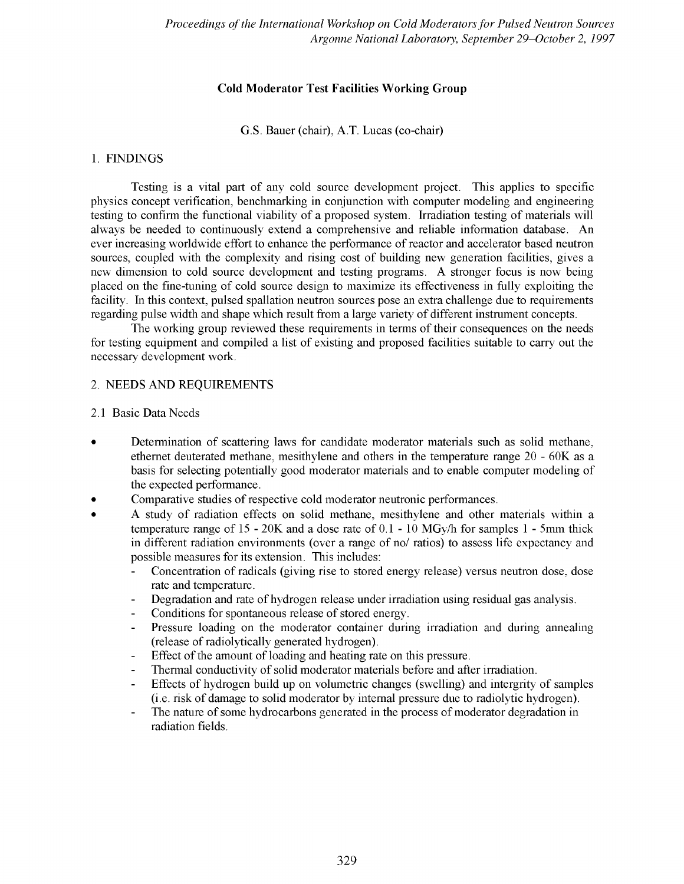## **Cold Moderator Test Facilities Working Group**

G.S. Bauer (chair), A T. Lucas (co-chair)

## 1. FINDINGS

Testing is a vital part of any cold source development project. This applies to specific physics concept verification, benchmarking in conjunction with computer modeling and engineering testing to confirm the functional viability of a proposed system. Irradiation testing of materials will always be needed to continuously extend a comprehensive and reliable information database. An ever increasing worldwide effort to enhance the performance of reactor and accelerator based neutron sources, coupled with the complexity and rising cost of building new generation facilities, gives a new dimension to cold source development and testing programs. A stronger focus is now being placed on the fine-tuning of cold source design to maximize its effectiveness in fully exploiting the facility. In this context, pulsed spallation neutron sources pose an extra challenge due to requirements regarding pulse width and shape which result from a large variety of different instrument concepts.

The working group reviewed these requirements in terms of their consequences on the needs for testing equipment and compiled a list of existing and proposed facilities suitable to carry out the necessary development work.

## 2. NEEDS AND REQUIREMENTS

### 2.1 Basic Data Needs

- Determination of scattering laws for candidate moderator materials such as solid methane, ethemet deuterated methane, mesithylene and others in the temperature range 20 - 60K as a basis for selecting potentially good moderator materials and to enable computer modeling of the expected performance.
- Comparative studies of respective cold moderator neutronic performances.
- A study of radiation effects on solid methane, mesithylene and other materials within a temperature range of 15 - 20K and a dose rate of 0.1 - 10 MGy/h for samples 1 - 5mm thick in different radiation environments (over a range of no/ ratios) to assess life expectancy and possible measures for its extension. This includes:
	- Concentration of radicals (giving rise to stored energy release) versus neutron dose, dose rate and temperature.
	- Degradation and rate of hydrogen release under irradiation using residual gas analysis.
	- Conditions for spontaneous release of stored energy.
	- Pressure loading on the moderator container during irradiation and during annealing (release of radiolytically generated hydrogen).
	- Effect of the amount of loading and heating rate on this pressure.
	- Thermal conductivity of solid moderator materials before and after irradiation.
	- Effects of hydrogen build up on volumetric changes (swelling) and intergrity of samples (i.e. risk of damage to solid moderator by internal pressure due to radiolytic hydrogen).
	- The nature of some hydrocarbons generated in the process of moderator degradation in radiation fields.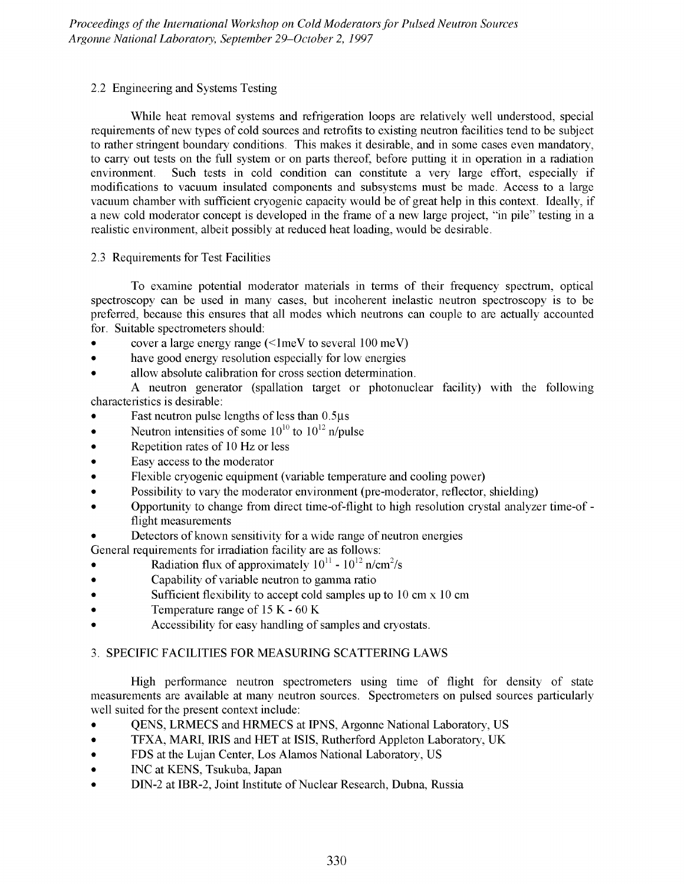## *2.2* Engineering and Systems Testing

While heat removal systems and refrigeration loops are relatively well understood, special requirements of new types of cold sources and retrofits to existing neutron facilities tend to be subject to rather stringent boundary conditions. This makes it desirable, and in some cases even mandatory, to carry out tests on the full system or on parts thereof, before putting it in operation in a radiation environment. Such tests in cold condition can constitute a very large effort, especially if modifications to vacuum insulated components and subsystems must be made. Access to a large vacuum chamber with sufficient cryogenic capacity would be of great help in this context. Ideally, if a new cold moderator concept is developed in the frame of a new large project, "in pile" testing in a realistic environment, albeit possibly at reduced heat loading, would be desirable.

## 2.3 Requirements for Test Facilities

To examine potential moderator materials in terms of their frequency spectrum, optical spectroscopy can be used in many cases, but incoherent inelastic neutron spectroscopy is to be preferred, because this ensures that all modes which neutrons can couple to are actually accounted for. Suitable spectrometers should:

- cover a large energy range  $(\leq 1 \text{meV}$  to several 100 meV)
- have good energy resolution especially for low energies
- allow absolute calibration for cross section determination.

A neutron generator (spallation target or photonuclear facility) with the following characteristics is desirable:

- Fast neutron pulse lengths of less than  $0.5\mu s$
- Neutron intensities of some  $10^{10}$  to  $10^{12}$  n/pulse
- Repetition rates of 10 Hz or less
- Easy access to the moderator
- Flexible cryogenic equipment (variable temperature and cooling power)
- Possibility to vary the moderator environment (pre-moderator, reflector, shielding)
- Opportunity to change from direct time-of-flight to high resolution crystal analyzer time-of flight measurements
- Detectors of known sensitivity for a wide range of neutron energies

General requirements for irradiation facility are as follows:

- Radiation flux of approximately  $10^{11}$   $10^{12}$  n/cm<sup>2</sup>/s
- Capability of variable neutron to gamma ratio
- Sufficient flexibility to accept cold samples up to  $10 \text{ cm} \times 10 \text{ cm}$
- Temperature range of 15 K 60 K
- Accessibility for easy handling of samples and cryostats.

# 3. SPECIFIC FACILITIES FOR MEASURING SCATTERING LAWS

High performance neutron spectrometers using time of flight for density of state measurements are available at many neutron sources. Spectrometers on pulsed sources particularly well suited for the present context include:

- QENS, LRMECS and HRMECS at IPNS, Argonne National Laboratory, US
- TFXA, MARI, IRIS and HET at ISIS, Rutherford Appleton Laboratory, UK
- FDS at the Lujan Center, Los Alamos National Laboratory, US
- INC at KENS, Tsukuba, Japan
- DIN-2 at IBR-2, Joint Institute of Nuclear Research, Dubna, Russia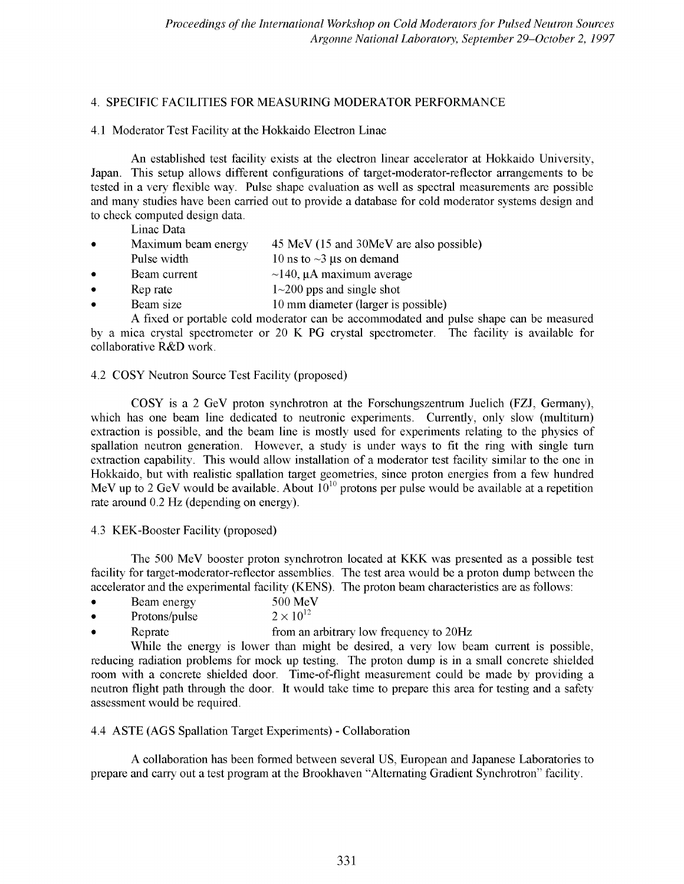## 4. SPECIFIC FACILITIES FOR MEASURING MODERATOR PERFORMANCE

### 4.1 Moderator Test Facility at the Hokkaido Electron Linac

An established test facility exists at the electron linear accelerator at Hokkaido University, Japan. This setup allows different configurations of target-moderator-reflector arrangements to be tested in a very flexible way. Pulse shape evaluation as well as spectral measurements are possible and many studies have been carried out to provide a database for cold moderator systems design and to check computed design data.

Linac Data

- Maximum beam energy 45 MeV (15 and 30MeV are also possible)
- Pulse width 10 ns to  $\sim$ 3 µs on demand
- Beam current  $\sim$ 140,  $\mu$ A maximum average
- Rep rate  $1 \sim 200$  pps and single shot
- **Beam size** 10 mm diameter (larger is possible)

A fixed or portable cold moderator can be accommodated and pulse shape can be measured by a mica crystal spectrometer or 20 K PG crystal spectrometer. The facility is available for collaborative R&D work.

## 4.2 COSY Neutron Source Test Facility (proposed)

COSY is a 2 GeV proton synchrotron at the Forschungszentrum Juelich (FZJ, Germany), which has one beam line dedicated to neutronic experiments. Currently, only slow (multitum) extraction is possible, and the beam line is mostly used for experiments relating to the physics of spallation neutron generation. However, a study is under ways to fit the ring with single turn extraction capability. This would allow installation of a moderator test facility similar to the one in Hokkaido, but with realistic spallation target geometries, since proton energies from a few hundred MeV up to 2 GeV would be available. About  $10^{10}$  protons per pulse would be available at a repetition rate around 0.2 Hz (depending on energy).

4.3 KEK-Booster Facility (proposed)

The 500 MeV booster proton synchrotron located at KKK was presented as a possible test facility for target-moderator-reflector assemblies. The test area would be a proton dump between the accelerator and the experimental facility (KENS). The proton beam characteristics are as follows:

- Beam energy 500 MeV<br>Protons/pulse  $2 \times 10^{12}$
- Protons/pulse
- Reprate **From an arbitrary low frequency to 20Hz**

While the energy is lower than might be desired, a very low beam current is possible, reducing radiation problems for mock up testing. The proton dump is in a small concrete shielded room with a concrete shielded door. Time-of-flight measurement could be made by providing a neutron flight path through the door. It would take time to prepare this area for testing and a safety assessment would be required.

# 4.4 ASTE (AGS Spallation Target Experiments) - Collaboration

A collaboration has been formed between several US, European and Japanese Laboratories to prepare and carry out a test program at the Brookhaven "Alternating Gradient Synchrotron" facility.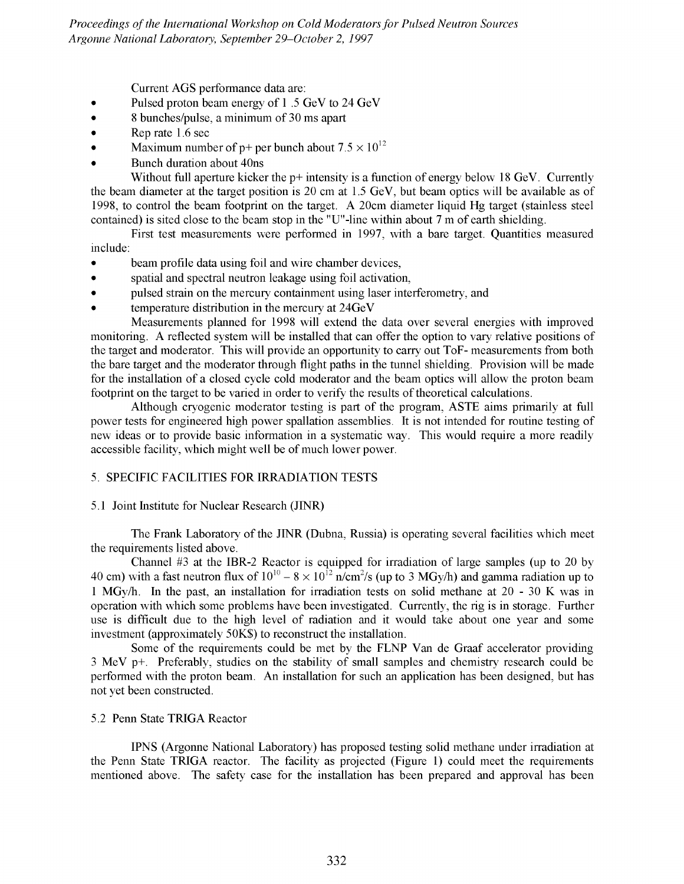*Proceedings of the International Workshop on Cold Moderators for Pulsed Neutron Sources Argonne National Laboratory, September 29-October 2, 1997*

Current AGS performance data are:

- Pulsed proton beam energy of 1.5 GeV to 24 GeV
- 8 bunches/pulse, a minimum of 30 ms apart
- Rep rate 1.6 sec
- Maximum number of p+ per bunch about  $7.5 \times 10^{12}$
- Bunch duration about 40ns

Without full aperture kicker the  $p+$  intensity is a function of energy below 18 GeV. Currently the beam diameter at the target position is 20 cm at 1.5 GeV, but beam optics will be available as of 1998, to control the beam footprint on the target. A 20cm diameter liquid Hg target (stainless steel contained) is sited close to the beam stop in the "U"-line within about 7 m of earth shielding.

First test measurements were performed in 1997, with a bare target. Quantities measured include:

- beam profile data using foil and wire chamber devices,
- spatial and spectral neutron leakage using foil activation,
- pulsed strain on the mercury containment using laser interferometry, and
- temperature distribution in the mercury at 24GeV

Measurements planned for 1998 will extend the data over several energies with improved monitoring. A reflected system will be installed that can offer the option to vary relative positions of the target and moderator. This will provide an opportunity to carry out ToF- measurements from both the bare target and the moderator through flight paths in the tunnel shielding. Provision will be made for the installation of a closed cycle cold moderator and the beam optics will allow the proton beam footprint on the target to be varied in order to verify the results of theoretical calculations.

Although cryogenic moderator testing is part of the program, ASTE aims primarily at full power tests for engineered high power spallation assemblies. It is not intended for routine testing of new ideas or to provide basic information in a systematic way. This would require a more readily accessible facility, which might well be of much lower power.

### 5. SPECIFIC FACILITIES FOR IRRADIATION TESTS

#### 5.1 Joint Institute for Nuclear Research (JINR)

The Frank Laboratory of the JINR (Dubna, Russia) is operating several facilities which meet the requirements listed above.

Channel #3 at the IBR-2 Reactor is equipped for irradiation of large samples (up to 20 by 40 cm) with a fast neutron flux of  $10^{10} - 8 \times 10^{12}$  n/cm<sup>2</sup>/s (up to 3 MGy/h) and gamma radiation up to 1 MGy/h. In the past, an installation for irradiation tests on solid methane at 20 - 30 K was in operation with which some problems have been investigated. Currently, the rig is in storage. Further use is difficult due to the high level of radiation and it would take about one year and some investment (approximately 50K\$) to reconstruct the installation.

Some of the requirements could be met by the FLNP Van de Graaf accelerator providing 3 MeV p+. Preferably, studies on the stability of small samples and chemistry research could be performed with the proton beam. An installation for such an application has been designed, but has not yet been constructed.

### 5.2 Penn State TRIGA Reactor

IPNS (Argonne National Laboratory) has proposed testing solid methane under irradiation at the Penn State TRIGA reactor. The facility as projected (Figure 1) could meet the requirements mentioned above. The safety case for the installation has been prepared and approval has been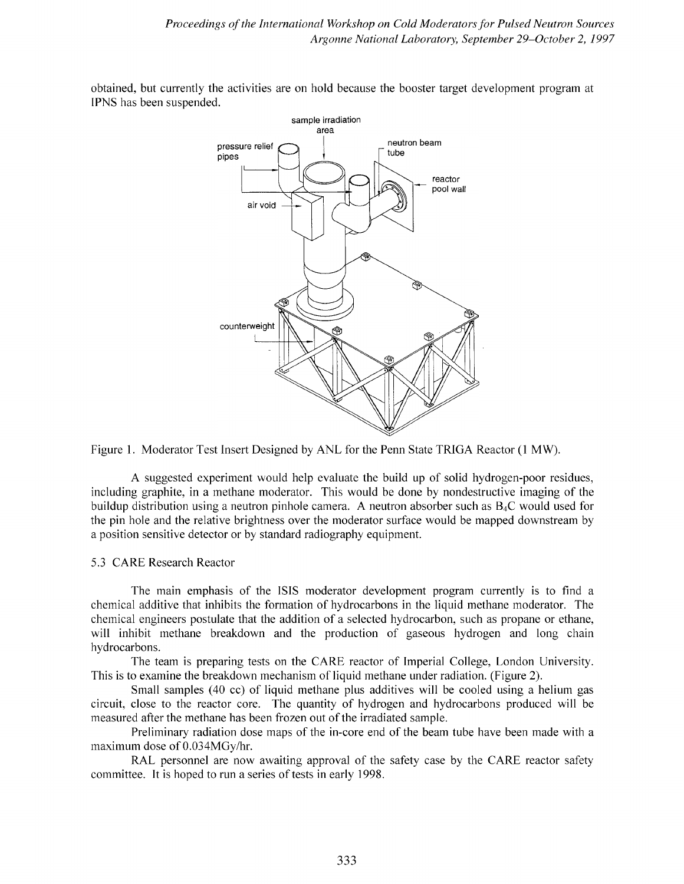

obtained, but currently the activities are on hold because the booster target development program at IPNS has been suspended.

Figure 1. Moderator Test Insert Designed by ANL for the Penn State TRIGA Reactor (1 MW).

A suggested experiment would help evaluate the build up of solid hydrogen-poor residues, including graphite, in a methane moderator. This would be done by nondestructive imaging of the buildup distribution using a neutron pinhole camera. A neutron absorber such as B4C would used for the pin hole and the relative brightness over the moderator surface would be mapped downstream by a position sensitive detector or by standard radiography equipment.

### 5.3 CARE Research Reactor

The main emphasis of the ISIS moderator development program currently is to find a chemical additive that inhibits the formation of hydrocarbons in the liquid methane moderator. The chemical engineers postulate that the addition of a selected hydrocarbon, such as propane or ethane, will inhibit methane breakdown and the production of gaseous hydrogen and long chain hydrocarbons.

The team is preparing tests on the CARE reactor of Imperial College, London University. This is to examine the breakdown mechanism of liquid methane under radiation. (Figure 2).

Small samples (40 cc) of liquid methane plus additives will be cooled using a helium gas circuit, close to the reactor core. The quantity of hydrogen and hydrocarbons produced will be measured after the methane has been frozen out of the irradiated sample.

Preliminary radiation dose maps of the in-core end of the beam tube have been made with a maximum dose of 0.034MGy/hr.

RAL personnel are now awaiting approval of the safety case by the CARE reactor safety committee. It is hoped to run a series of tests in early 1998.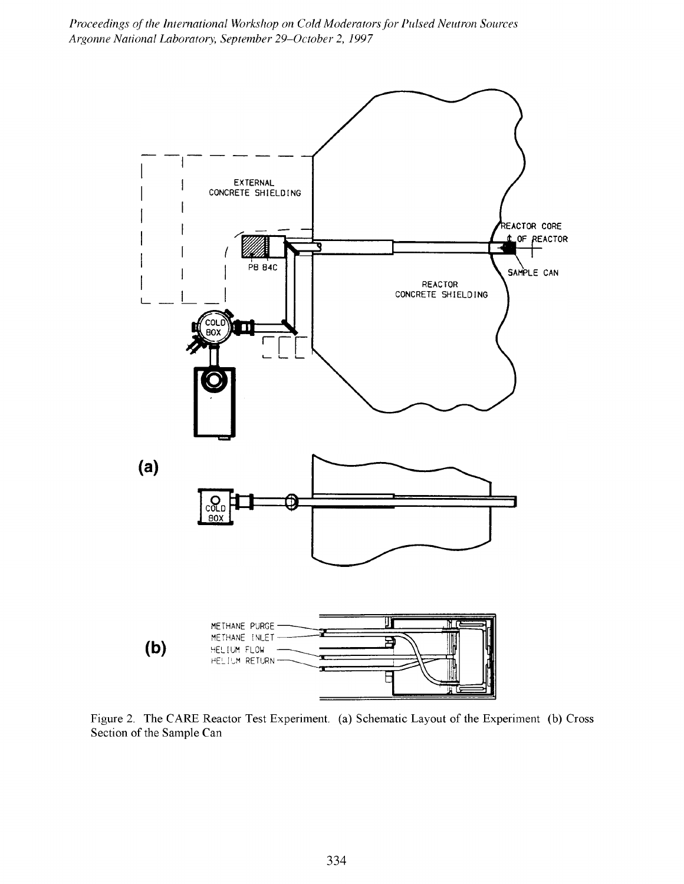*Proceedings of the International Workshop on Cold Moderators for Pulsed Neutron Sources Argonne National Laboratory, September 29-October 2, 1997*



Figure 2. The CARE Reactor Test Experiment, (a) Schematic Layout of the Experiment (b) Cross Section of the Sample Can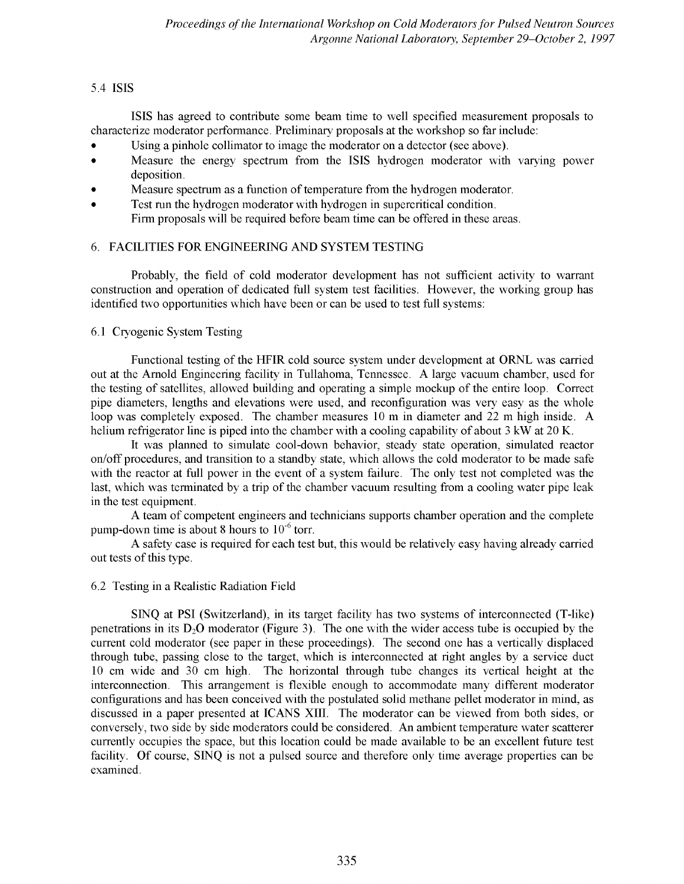### 5.4 ISIS

ISIS has agreed to contribute some beam time to well specified measurement proposals to characterize moderator performance. Preliminary proposals at the workshop so far include:

- Using a pinhole collimator to image the moderator on a detector (see above).
- Measure the energy spectrum from the ISIS hydrogen moderator with varying power deposition.
- Measure spectrum as a function of temperature from the hydrogen moderator.
- Test run the hydrogen moderator with hydrogen in supercritical condition. Firm proposals will be required before beam time can be offered in these areas.

# 6. FACILITIES FOR ENGINEERING AND SYSTEM TESTING

Probably, the field of cold moderator development has not sufficient activity to warrant construction and operation of dedicated full system test facilities. However, the working group has identified two opportunities which have been or can be used to test full systems:

## 6.1 Cryogenic System Testing

Functional testing of the HFIR cold source system under development at ORNL was carried out at the Arnold Engineering facility in Tullahoma, Tennessee. A large vacuum chamber, used for the testing of satellites, allowed building and operating a simple mockup of the entire loop. Correct pipe diameters, lengths and elevations were used, and reconfiguration was very easy as the whole loop was completely exposed. The chamber measures 10 m in diameter and 22 m high inside. A helium refrigerator line is piped into the chamber with a cooling capability of about 3 kW at 20 K.

It was planned to simulate cool-down behavior, steady state operation, simulated reactor on/off procedures, and transition to a standby state, which allows the cold moderator to be made safe with the reactor at full power in the event of a system failure. The only test not completed was the last, which was terminated by a trip of the chamber vacuum resulting from a cooling water pipe leak in the test equipment.

A team of competent engineers and technicians supports chamber operation and the complete pump-down time is about 8 hours to  $10^{-6}$  torr.

A safety case is required for each test but, this would be relatively easy having already carried out tests of this type.

### 6.2 Testing in a Realistic Radiation Field

SINQ at PSI (Switzerland), in its target facility has two systems of interconnected (T-like) penetrations in its  $D_2O$  moderator (Figure 3). The one with the wider access tube is occupied by the current cold moderator (see paper in these proceedings). The second one has a vertically displaced through tube, passing close to the target, which is interconnected at right angles by a service duct 10 cm wide and 30 cm high. The horizontal through tube changes its vertical height at the interconnection. This arrangement is flexible enough to accommodate many different moderator configurations and has been conceived with the postulated solid methane pellet moderator in mind, as discussed in a paper presented at ICANS XIII. The moderator can be viewed from both sides, or conversely, two side by side moderators could be considered. An ambient temperature water scatterer currently occupies the space, but this location could be made available to be an excellent future test facility. Of course, SINQ is not a pulsed source and therefore only time average properties can be examined.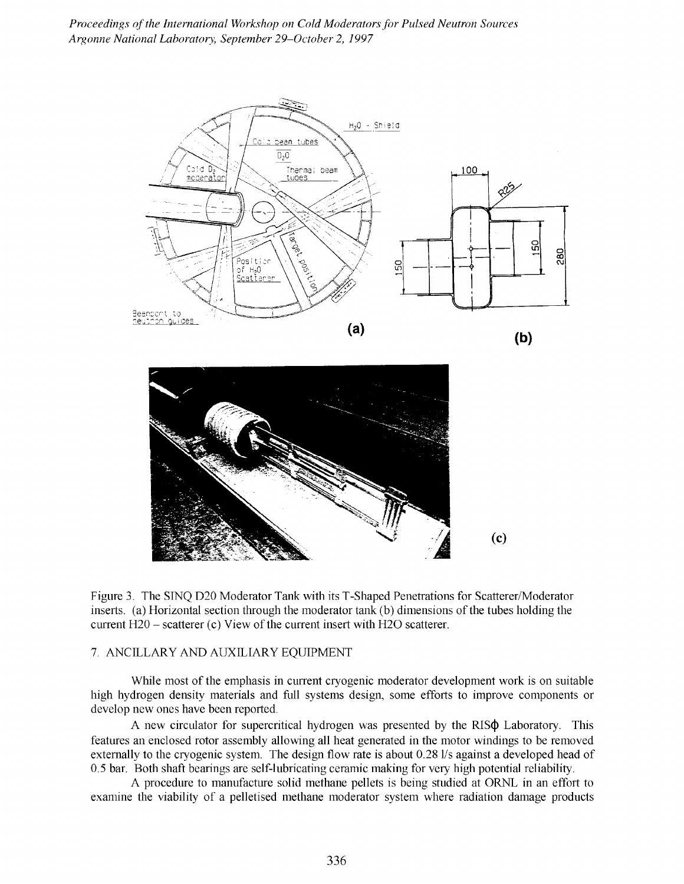*Proceedings of the International Workshop on Cold Moderators for Pulsed Neutron Sources Argonne National Laboratory, September 29-October 2, 1997*



Figure 3. The SINQ D20 Moderator Tank with its T-Shaped Penetrations for Scatterer/Moderator inserts, (a) Horizontal section through the moderator tank (b) dimensions of the tubes holding the current  $H20$  – scatterer (c) View of the current insert with  $H2O$  scatterer.

#### 7. ANCILLARY AND AUXILIARY EQUIPMENT

While most of the emphasis in current cryogenic moderator development work is on suitable high hydrogen density materials and full systems design, some efforts to improve components or develop new ones have been reported.

A new circulator for supercritical hydrogen was presented by the RIS $\phi$  Laboratory. This features an enclosed rotor assembly allowing all heat generated in the motor windings to be removed externally to the cryogenic system. The design flow rate is about 0.28 1/s against a developed head of 0.5 bar. Both shaft bearings are self-lubricating ceramic making for very high potential reliability.

A procedure to manufacture solid methane pellets is being studied at ORNL in an effort to examine the viability of a pelletised methane moderator system where radiation damage products